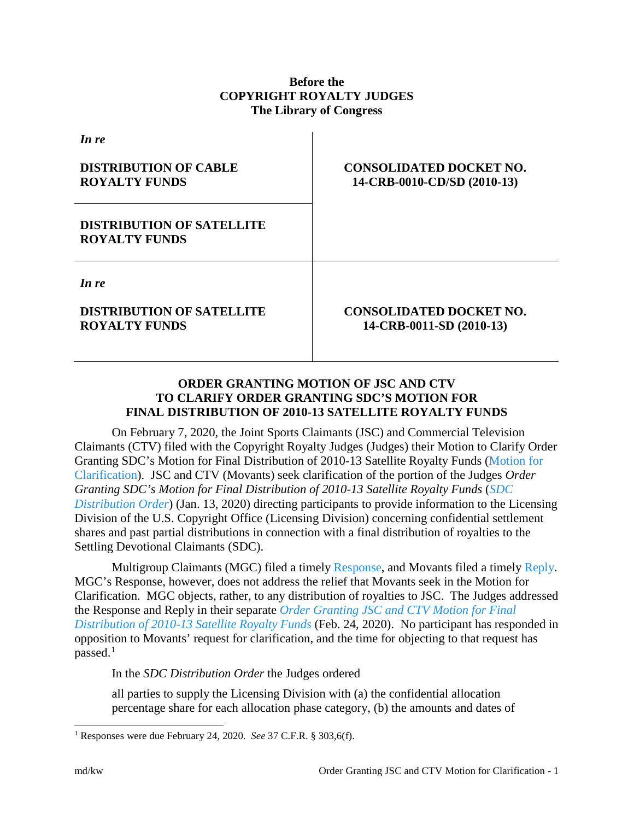## **Before the COPYRIGHT ROYALTY JUDGES The Library of Congress**

| <b>CONSOLIDATED DOCKET NO.</b><br>14-CRB-0010-CD/SD (2010-13) |
|---------------------------------------------------------------|
|                                                               |
|                                                               |
| <b>CONSOLIDATED DOCKET NO.</b><br>14-CRB-0011-SD (2010-13)    |
|                                                               |

## **ORDER GRANTING MOTION OF JSC AND CTV TO CLARIFY ORDER GRANTING SDC'S MOTION FOR FINAL DISTRIBUTION OF 2010-13 SATELLITE ROYALTY FUNDS**

On February 7, 2020, the Joint Sports Claimants (JSC) and Commercial Television Claimants (CTV) filed with the Copyright Royalty Judges (Judges) their Motion to Clarify Order Granting SDC's Motion for Final Distribution of 2010-13 Satellite Royalty Funds [\(Motion for](https://app.crb.gov/case/viewDocument/21011)  [Clarification\)](https://app.crb.gov/case/viewDocument/21011). JSC and CTV (Movants) seek clarification of the portion of the Judges *Order Granting SDC's Motion for Final Distribution of 2010-13 Satellite Royalty Funds* (*[SDC](https://app.crb.gov/case/viewDocument/20236)  [Distribution Order](https://app.crb.gov/case/viewDocument/20236)*) (Jan. 13, 2020) directing participants to provide information to the Licensing Division of the U.S. Copyright Office (Licensing Division) concerning confidential settlement shares and past partial distributions in connection with a final distribution of royalties to the Settling Devotional Claimants (SDC).

Multigroup Claimants (MGC) filed a timely [Response,](https://app.crb.gov/case/viewDocument/21019) and Movants filed a timely [Reply.](https://app.crb.gov/case/viewDocument/21023) MGC's Response, however, does not address the relief that Movants seek in the Motion for Clarification. MGC objects, rather, to any distribution of royalties to JSC. The Judges addressed the Response and Reply in their separate *[Order Granting JSC and CTV Motion for Final](https://app.crb.gov/case/viewDocument/21044)  [Distribution of 2010-13 Satellite Royalty Funds](https://app.crb.gov/case/viewDocument/21044)* (Feb. 24, 2020). No participant has responded in opposition to Movants' request for clarification, and the time for objecting to that request has passed.<sup>[1](#page-0-0)</sup>

In the *SDC Distribution Order* the Judges ordered

all parties to supply the Licensing Division with (a) the confidential allocation percentage share for each allocation phase category, (b) the amounts and dates of

<span id="page-0-0"></span> <sup>1</sup> Responses were due February 24, 2020. *See* 37 C.F.R. § 303,6(f).